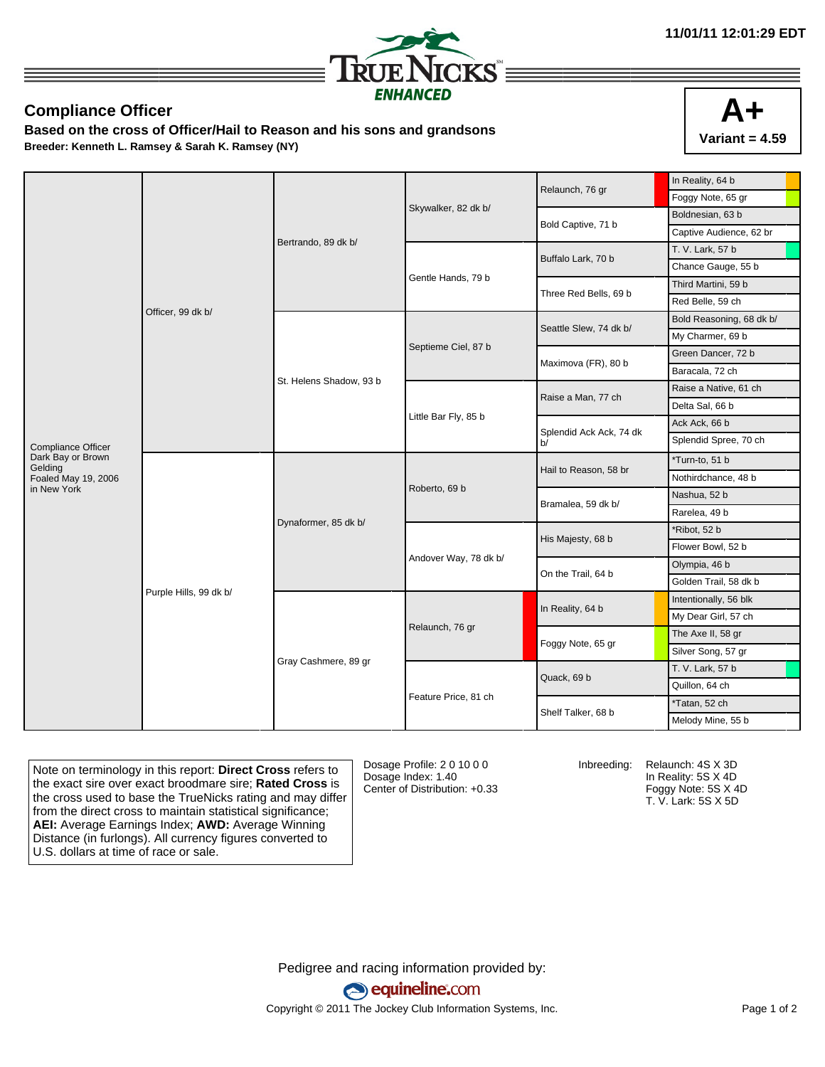

## **Compliance Officer**

**Based on the cross of Officer/Hail to Reason and his sons and grandsons Breeder: Kenneth L. Ramsey & Sarah K. Ramsey (NY)**



|                              |                        |                         |                       | Relaunch, 76 gr               | In Reality, 64 b         |
|------------------------------|------------------------|-------------------------|-----------------------|-------------------------------|--------------------------|
|                              | Officer, 99 dk b/      | Bertrando, 89 dk b/     |                       |                               | Foggy Note, 65 gr        |
|                              |                        |                         | Skywalker, 82 dk b/   | Bold Captive, 71 b            | Boldnesian, 63 b         |
|                              |                        |                         |                       |                               | Captive Audience, 62 br  |
|                              |                        |                         |                       | Buffalo Lark, 70 b            | T. V. Lark, 57 b         |
|                              |                        |                         |                       |                               | Chance Gauge, 55 b       |
|                              |                        |                         | Gentle Hands, 79 b    | Three Red Bells, 69 b         | Third Martini, 59 b      |
|                              |                        |                         |                       |                               | Red Belle, 59 ch         |
|                              |                        | St. Helens Shadow, 93 b |                       | Seattle Slew, 74 dk b/        | Bold Reasoning, 68 dk b/ |
|                              |                        |                         |                       |                               | My Charmer, 69 b         |
|                              |                        |                         | Septieme Ciel, 87 b   | Maximova (FR), 80 b           | Green Dancer, 72 b       |
|                              |                        |                         |                       |                               | Baracala, 72 ch          |
|                              |                        |                         |                       | Raise a Man, 77 ch            | Raise a Native, 61 ch    |
|                              |                        |                         | Little Bar Fly, 85 b  |                               | Delta Sal, 66 b          |
|                              |                        |                         |                       | Splendid Ack Ack, 74 dk<br>b/ | Ack Ack, 66 b            |
| Compliance Officer           |                        |                         |                       |                               | Splendid Spree, 70 ch    |
| Dark Bay or Brown<br>Gelding | Purple Hills, 99 dk b/ | Dynaformer, 85 dk b/    |                       | Hail to Reason, 58 br         | *Turn-to, 51 b           |
| Foaled May 19, 2006          |                        |                         |                       |                               | Nothirdchance, 48 b      |
| in New York                  |                        |                         | Roberto, 69 b         | Bramalea, 59 dk b/            | Nashua, 52 b             |
|                              |                        |                         |                       |                               | Rarelea, 49 b            |
|                              |                        |                         |                       | His Majesty, 68 b             | *Ribot, 52 b             |
|                              |                        |                         |                       |                               | Flower Bowl, 52 b        |
|                              |                        |                         | Andover Way, 78 dk b/ | On the Trail, 64 b            | Olympia, 46 b            |
|                              |                        |                         |                       |                               | Golden Trail, 58 dk b    |
|                              |                        | Gray Cashmere, 89 gr    | Relaunch, 76 gr       | In Reality, 64 b              | Intentionally, 56 blk    |
|                              |                        |                         |                       |                               | My Dear Girl, 57 ch      |
|                              |                        |                         |                       | Foggy Note, 65 gr             | The Axe II, 58 gr        |
|                              |                        |                         |                       |                               | Silver Song, 57 gr       |
|                              |                        |                         |                       |                               | T. V. Lark, 57 b         |
|                              |                        |                         |                       | Quack, 69 b                   | Quillon, 64 ch           |
|                              |                        |                         | Feature Price, 81 ch  | Shelf Talker, 68 b            | *Tatan, 52 ch            |
|                              |                        |                         |                       |                               | Melody Mine, 55 b        |

Note on terminology in this report: **Direct Cross** refers to the exact sire over exact broodmare sire; **Rated Cross** is the cross used to base the TrueNicks rating and may differ from the direct cross to maintain statistical significance; **AEI:** Average Earnings Index; **AWD:** Average Winning Distance (in furlongs). All currency figures converted to U.S. dollars at time of race or sale.

Dosage Profile: 2 0 10 0 0 Dosage Index: 1.40 Center of Distribution: +0.33

Inbreeding: Relaunch: 4S X 3D In Reality: 5S X 4D Foggy Note: 5S X 4D T. V. Lark: 5S X 5D

Pedigree and racing information provided by: equineline.com Copyright © 2011 The Jockey Club Information Systems, Inc. example 2012 Page 1 of 2